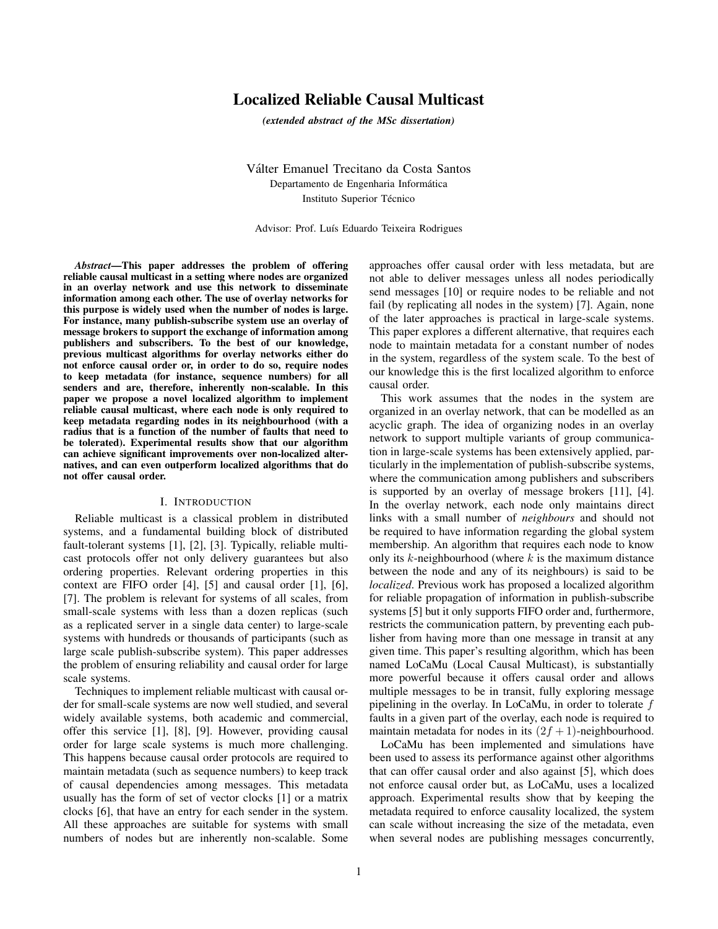# Localized Reliable Causal Multicast

*(extended abstract of the MSc dissertation)*

Valter Emanuel Trecitano da Costa Santos ´ Departamento de Engenharia Informática Instituto Superior Técnico

Advisor: Prof. Luís Eduardo Teixeira Rodrigues

*Abstract*—This paper addresses the problem of offering reliable causal multicast in a setting where nodes are organized in an overlay network and use this network to disseminate information among each other. The use of overlay networks for this purpose is widely used when the number of nodes is large. For instance, many publish-subscribe system use an overlay of message brokers to support the exchange of information among publishers and subscribers. To the best of our knowledge, previous multicast algorithms for overlay networks either do not enforce causal order or, in order to do so, require nodes to keep metadata (for instance, sequence numbers) for all senders and are, therefore, inherently non-scalable. In this paper we propose a novel localized algorithm to implement reliable causal multicast, where each node is only required to keep metadata regarding nodes in its neighbourhood (with a radius that is a function of the number of faults that need to be tolerated). Experimental results show that our algorithm can achieve significant improvements over non-localized alternatives, and can even outperform localized algorithms that do not offer causal order.

### I. INTRODUCTION

Reliable multicast is a classical problem in distributed systems, and a fundamental building block of distributed fault-tolerant systems [1], [2], [3]. Typically, reliable multicast protocols offer not only delivery guarantees but also ordering properties. Relevant ordering properties in this context are FIFO order [4], [5] and causal order [1], [6], [7]. The problem is relevant for systems of all scales, from small-scale systems with less than a dozen replicas (such as a replicated server in a single data center) to large-scale systems with hundreds or thousands of participants (such as large scale publish-subscribe system). This paper addresses the problem of ensuring reliability and causal order for large scale systems.

Techniques to implement reliable multicast with causal order for small-scale systems are now well studied, and several widely available systems, both academic and commercial, offer this service [1], [8], [9]. However, providing causal order for large scale systems is much more challenging. This happens because causal order protocols are required to maintain metadata (such as sequence numbers) to keep track of causal dependencies among messages. This metadata usually has the form of set of vector clocks [1] or a matrix clocks [6], that have an entry for each sender in the system. All these approaches are suitable for systems with small numbers of nodes but are inherently non-scalable. Some approaches offer causal order with less metadata, but are not able to deliver messages unless all nodes periodically send messages [10] or require nodes to be reliable and not fail (by replicating all nodes in the system) [7]. Again, none of the later approaches is practical in large-scale systems. This paper explores a different alternative, that requires each node to maintain metadata for a constant number of nodes in the system, regardless of the system scale. To the best of our knowledge this is the first localized algorithm to enforce causal order.

This work assumes that the nodes in the system are organized in an overlay network, that can be modelled as an acyclic graph. The idea of organizing nodes in an overlay network to support multiple variants of group communication in large-scale systems has been extensively applied, particularly in the implementation of publish-subscribe systems, where the communication among publishers and subscribers is supported by an overlay of message brokers [11], [4]. In the overlay network, each node only maintains direct links with a small number of *neighbours* and should not be required to have information regarding the global system membership. An algorithm that requires each node to know only its  $k$ -neighbourhood (where  $k$  is the maximum distance between the node and any of its neighbours) is said to be *localized*. Previous work has proposed a localized algorithm for reliable propagation of information in publish-subscribe systems [5] but it only supports FIFO order and, furthermore, restricts the communication pattern, by preventing each publisher from having more than one message in transit at any given time. This paper's resulting algorithm, which has been named LoCaMu (Local Causal Multicast), is substantially more powerful because it offers causal order and allows multiple messages to be in transit, fully exploring message pipelining in the overlay. In LoCaMu, in order to tolerate f faults in a given part of the overlay, each node is required to maintain metadata for nodes in its  $(2f + 1)$ -neighbourhood.

LoCaMu has been implemented and simulations have been used to assess its performance against other algorithms that can offer causal order and also against [5], which does not enforce causal order but, as LoCaMu, uses a localized approach. Experimental results show that by keeping the metadata required to enforce causality localized, the system can scale without increasing the size of the metadata, even when several nodes are publishing messages concurrently,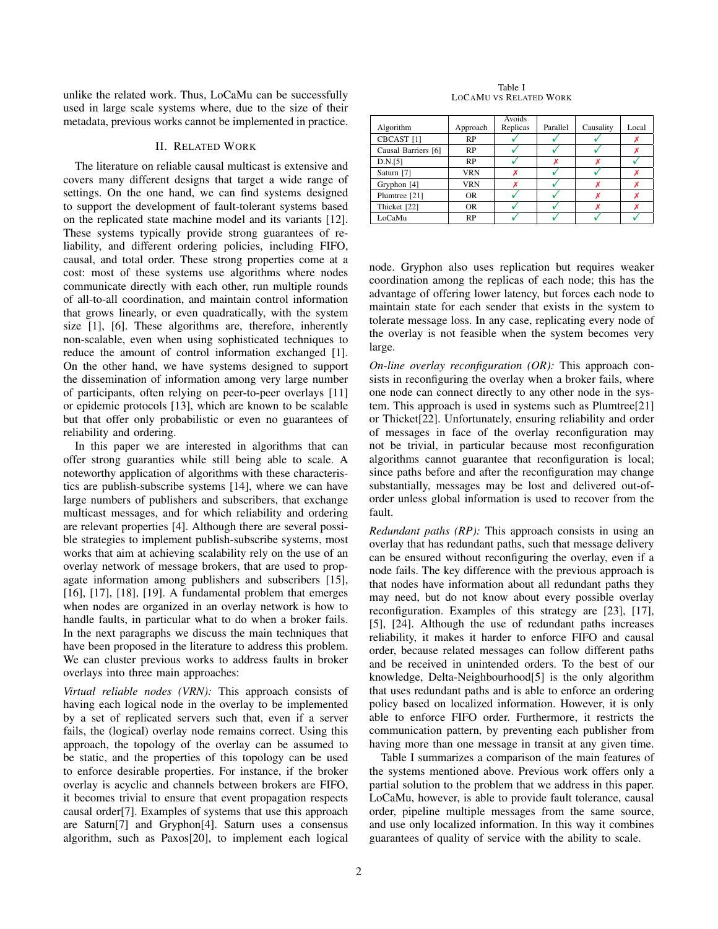unlike the related work. Thus, LoCaMu can be successfully used in large scale systems where, due to the size of their metadata, previous works cannot be implemented in practice.

# II. RELATED WORK

The literature on reliable causal multicast is extensive and covers many different designs that target a wide range of settings. On the one hand, we can find systems designed to support the development of fault-tolerant systems based on the replicated state machine model and its variants [12]. These systems typically provide strong guarantees of reliability, and different ordering policies, including FIFO, causal, and total order. These strong properties come at a cost: most of these systems use algorithms where nodes communicate directly with each other, run multiple rounds of all-to-all coordination, and maintain control information that grows linearly, or even quadratically, with the system size [1], [6]. These algorithms are, therefore, inherently non-scalable, even when using sophisticated techniques to reduce the amount of control information exchanged [1]. On the other hand, we have systems designed to support the dissemination of information among very large number of participants, often relying on peer-to-peer overlays [11] or epidemic protocols [13], which are known to be scalable but that offer only probabilistic or even no guarantees of reliability and ordering.

In this paper we are interested in algorithms that can offer strong guaranties while still being able to scale. A noteworthy application of algorithms with these characteristics are publish-subscribe systems [14], where we can have large numbers of publishers and subscribers, that exchange multicast messages, and for which reliability and ordering are relevant properties [4]. Although there are several possible strategies to implement publish-subscribe systems, most works that aim at achieving scalability rely on the use of an overlay network of message brokers, that are used to propagate information among publishers and subscribers [15], [16], [17], [18], [19]. A fundamental problem that emerges when nodes are organized in an overlay network is how to handle faults, in particular what to do when a broker fails. In the next paragraphs we discuss the main techniques that have been proposed in the literature to address this problem. We can cluster previous works to address faults in broker overlays into three main approaches:

*Virtual reliable nodes (VRN):* This approach consists of having each logical node in the overlay to be implemented by a set of replicated servers such that, even if a server fails, the (logical) overlay node remains correct. Using this approach, the topology of the overlay can be assumed to be static, and the properties of this topology can be used to enforce desirable properties. For instance, if the broker overlay is acyclic and channels between brokers are FIFO, it becomes trivial to ensure that event propagation respects causal order[7]. Examples of systems that use this approach are Saturn[7] and Gryphon[4]. Saturn uses a consensus algorithm, such as Paxos[20], to implement each logical

Table I LOCAMU VS RELATED WORK

|                       |            | Avoids   |          |           |       |
|-----------------------|------------|----------|----------|-----------|-------|
| Algorithm             | Approach   | Replicas | Parallel | Causality | Local |
| CBCAST <sup>[1]</sup> | <b>RP</b>  |          |          |           |       |
| Causal Barriers [6]   | <b>RP</b>  |          |          |           |       |
| D.N.[5]               | <b>RP</b>  |          |          |           |       |
| Saturn [7]            | VRN        |          |          |           |       |
| Gryphon [4]           | <b>VRN</b> |          |          |           |       |
| Plumtree [21]         | <b>OR</b>  |          |          |           |       |
| Thicket [22]          | <b>OR</b>  |          |          |           |       |
| LoCaMu                | RP         |          |          |           |       |

node. Gryphon also uses replication but requires weaker coordination among the replicas of each node; this has the advantage of offering lower latency, but forces each node to maintain state for each sender that exists in the system to tolerate message loss. In any case, replicating every node of the overlay is not feasible when the system becomes very large.

*On-line overlay reconfiguration (OR):* This approach consists in reconfiguring the overlay when a broker fails, where one node can connect directly to any other node in the system. This approach is used in systems such as Plumtree[21] or Thicket[22]. Unfortunately, ensuring reliability and order of messages in face of the overlay reconfiguration may not be trivial, in particular because most reconfiguration algorithms cannot guarantee that reconfiguration is local; since paths before and after the reconfiguration may change substantially, messages may be lost and delivered out-oforder unless global information is used to recover from the fault.

*Redundant paths (RP):* This approach consists in using an overlay that has redundant paths, such that message delivery can be ensured without reconfiguring the overlay, even if a node fails. The key difference with the previous approach is that nodes have information about all redundant paths they may need, but do not know about every possible overlay reconfiguration. Examples of this strategy are [23], [17], [5], [24]. Although the use of redundant paths increases reliability, it makes it harder to enforce FIFO and causal order, because related messages can follow different paths and be received in unintended orders. To the best of our knowledge, Delta-Neighbourhood[5] is the only algorithm that uses redundant paths and is able to enforce an ordering policy based on localized information. However, it is only able to enforce FIFO order. Furthermore, it restricts the communication pattern, by preventing each publisher from having more than one message in transit at any given time.

Table I summarizes a comparison of the main features of the systems mentioned above. Previous work offers only a partial solution to the problem that we address in this paper. LoCaMu, however, is able to provide fault tolerance, causal order, pipeline multiple messages from the same source, and use only localized information. In this way it combines guarantees of quality of service with the ability to scale.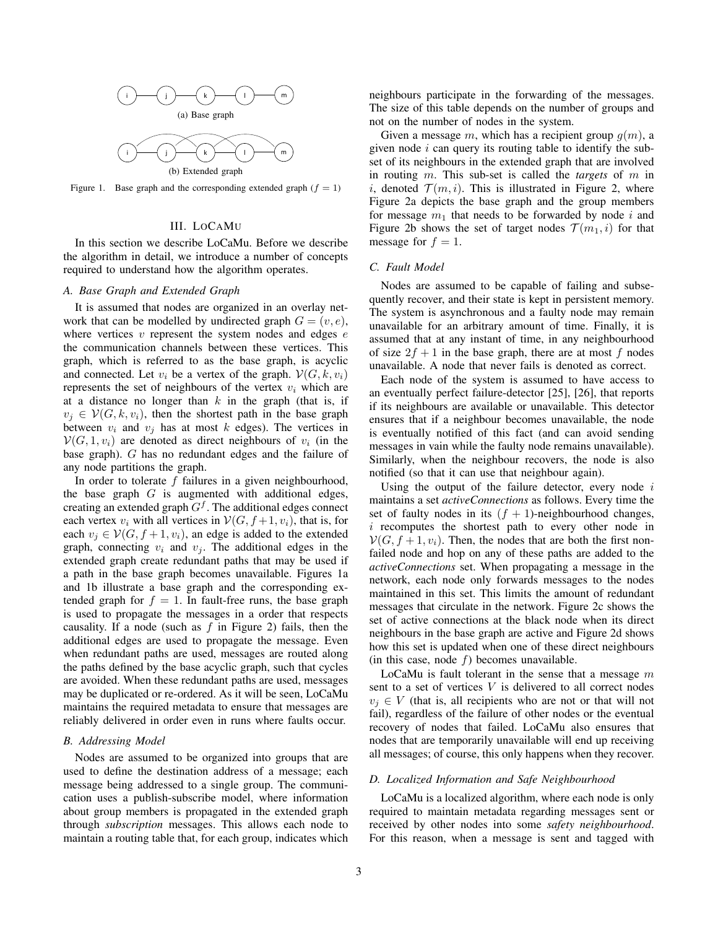

Figure 1. Base graph and the corresponding extended graph  $(f = 1)$ 

# III. LOCAMU

In this section we describe LoCaMu. Before we describe the algorithm in detail, we introduce a number of concepts required to understand how the algorithm operates.

# *A. Base Graph and Extended Graph*

It is assumed that nodes are organized in an overlay network that can be modelled by undirected graph  $G = (v, e)$ , where vertices  $v$  represent the system nodes and edges  $e$ the communication channels between these vertices. This graph, which is referred to as the base graph, is acyclic and connected. Let  $v_i$  be a vertex of the graph.  $\mathcal{V}(G, k, v_i)$ represents the set of neighbours of the vertex  $v_i$  which are at a distance no longer than  $k$  in the graph (that is, if  $v_i \in V(G, k, v_i)$ , then the shortest path in the base graph between  $v_i$  and  $v_j$  has at most k edges). The vertices in  $V(G, 1, v_i)$  are denoted as direct neighbours of  $v_i$  (in the base graph). G has no redundant edges and the failure of any node partitions the graph.

In order to tolerate  $f$  failures in a given neighbourhood, the base graph  $G$  is augmented with additional edges, creating an extended graph  $G^f$ . The additional edges connect each vertex  $v_i$  with all vertices in  $V(G, f+1, v_i)$ , that is, for each  $v_i \in V(G, f+1, v_i)$ , an edge is added to the extended graph, connecting  $v_i$  and  $v_j$ . The additional edges in the extended graph create redundant paths that may be used if a path in the base graph becomes unavailable. Figures 1a and 1b illustrate a base graph and the corresponding extended graph for  $f = 1$ . In fault-free runs, the base graph is used to propagate the messages in a order that respects causality. If a node (such as  $f$  in Figure 2) fails, then the additional edges are used to propagate the message. Even when redundant paths are used, messages are routed along the paths defined by the base acyclic graph, such that cycles are avoided. When these redundant paths are used, messages may be duplicated or re-ordered. As it will be seen, LoCaMu maintains the required metadata to ensure that messages are reliably delivered in order even in runs where faults occur.

#### *B. Addressing Model*

Nodes are assumed to be organized into groups that are used to define the destination address of a message; each message being addressed to a single group. The communication uses a publish-subscribe model, where information about group members is propagated in the extended graph through *subscription* messages. This allows each node to maintain a routing table that, for each group, indicates which neighbours participate in the forwarding of the messages. The size of this table depends on the number of groups and not on the number of nodes in the system.

Given a message m, which has a recipient group  $g(m)$ , a given node  $i$  can query its routing table to identify the subset of its neighbours in the extended graph that are involved in routing m. This sub-set is called the *targets* of m in i, denoted  $\mathcal{T}(m, i)$ . This is illustrated in Figure 2, where Figure 2a depicts the base graph and the group members for message  $m_1$  that needs to be forwarded by node i and Figure 2b shows the set of target nodes  $\mathcal{T}(m_1, i)$  for that message for  $f = 1$ .

### *C. Fault Model*

Nodes are assumed to be capable of failing and subsequently recover, and their state is kept in persistent memory. The system is asynchronous and a faulty node may remain unavailable for an arbitrary amount of time. Finally, it is assumed that at any instant of time, in any neighbourhood of size  $2f + 1$  in the base graph, there are at most f nodes unavailable. A node that never fails is denoted as correct.

Each node of the system is assumed to have access to an eventually perfect failure-detector [25], [26], that reports if its neighbours are available or unavailable. This detector ensures that if a neighbour becomes unavailable, the node is eventually notified of this fact (and can avoid sending messages in vain while the faulty node remains unavailable). Similarly, when the neighbour recovers, the node is also notified (so that it can use that neighbour again).

Using the output of the failure detector, every node  $i$ maintains a set *activeConnections* as follows. Every time the set of faulty nodes in its  $(f + 1)$ -neighbourhood changes,  $i$  recomputes the shortest path to every other node in  $V(G, f + 1, v_i)$ . Then, the nodes that are both the first nonfailed node and hop on any of these paths are added to the *activeConnections* set. When propagating a message in the network, each node only forwards messages to the nodes maintained in this set. This limits the amount of redundant messages that circulate in the network. Figure 2c shows the set of active connections at the black node when its direct neighbours in the base graph are active and Figure 2d shows how this set is updated when one of these direct neighbours (in this case, node  $f$ ) becomes unavailable.

LoCaMu is fault tolerant in the sense that a message  $m$ sent to a set of vertices  $V$  is delivered to all correct nodes  $v_i \in V$  (that is, all recipients who are not or that will not fail), regardless of the failure of other nodes or the eventual recovery of nodes that failed. LoCaMu also ensures that nodes that are temporarily unavailable will end up receiving all messages; of course, this only happens when they recover.

### *D. Localized Information and Safe Neighbourhood*

LoCaMu is a localized algorithm, where each node is only required to maintain metadata regarding messages sent or received by other nodes into some *safety neighbourhood*. For this reason, when a message is sent and tagged with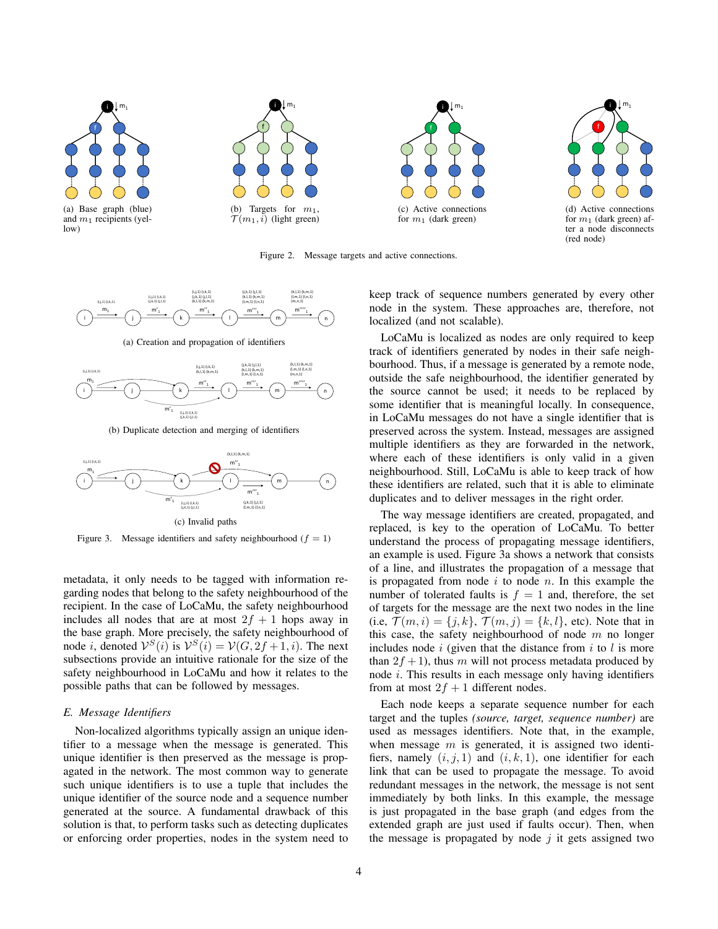

Figure 2. Message targets and active connections.



(a) Creation and propagation of identifiers



(b) Duplicate detection and merging of identifiers



Figure 3. Message identifiers and safety neighbourhood  $(f = 1)$ 

metadata, it only needs to be tagged with information regarding nodes that belong to the safety neighbourhood of the recipient. In the case of LoCaMu, the safety neighbourhood includes all nodes that are at most  $2f + 1$  hops away in the base graph. More precisely, the safety neighbourhood of node *i*, denoted  $V^S(i)$  is  $V^S(i) = V(G, 2f + 1, i)$ . The next subsections provide an intuitive rationale for the size of the safety neighbourhood in LoCaMu and how it relates to the possible paths that can be followed by messages.

# *E. Message Identifiers*

Non-localized algorithms typically assign an unique identifier to a message when the message is generated. This unique identifier is then preserved as the message is propagated in the network. The most common way to generate such unique identifiers is to use a tuple that includes the unique identifier of the source node and a sequence number generated at the source. A fundamental drawback of this solution is that, to perform tasks such as detecting duplicates or enforcing order properties, nodes in the system need to keep track of sequence numbers generated by every other node in the system. These approaches are, therefore, not localized (and not scalable).

LoCaMu is localized as nodes are only required to keep track of identifiers generated by nodes in their safe neighbourhood. Thus, if a message is generated by a remote node, outside the safe neighbourhood, the identifier generated by the source cannot be used; it needs to be replaced by some identifier that is meaningful locally. In consequence, in LoCaMu messages do not have a single identifier that is preserved across the system. Instead, messages are assigned multiple identifiers as they are forwarded in the network, where each of these identifiers is only valid in a given neighbourhood. Still, LoCaMu is able to keep track of how these identifiers are related, such that it is able to eliminate duplicates and to deliver messages in the right order.

The way message identifiers are created, propagated, and replaced, is key to the operation of LoCaMu. To better understand the process of propagating message identifiers, an example is used. Figure 3a shows a network that consists of a line, and illustrates the propagation of a message that is propagated from node  $i$  to node  $n$ . In this example the number of tolerated faults is  $f = 1$  and, therefore, the set of targets for the message are the next two nodes in the line (i.e,  $\mathcal{T}(m,i) = \{j,k\}, \mathcal{T}(m,j) = \{k,l\}$ , etc). Note that in this case, the safety neighbourhood of node  $m$  no longer includes node  $i$  (given that the distance from  $i$  to  $l$  is more than  $2f + 1$ , thus m will not process metadata produced by node i. This results in each message only having identifiers from at most  $2f + 1$  different nodes.

Each node keeps a separate sequence number for each target and the tuples *(source, target, sequence number)* are used as messages identifiers. Note that, in the example, when message  $m$  is generated, it is assigned two identifiers, namely  $(i, j, 1)$  and  $(i, k, 1)$ , one identifier for each link that can be used to propagate the message. To avoid redundant messages in the network, the message is not sent immediately by both links. In this example, the message is just propagated in the base graph (and edges from the extended graph are just used if faults occur). Then, when the message is propagated by node  $j$  it gets assigned two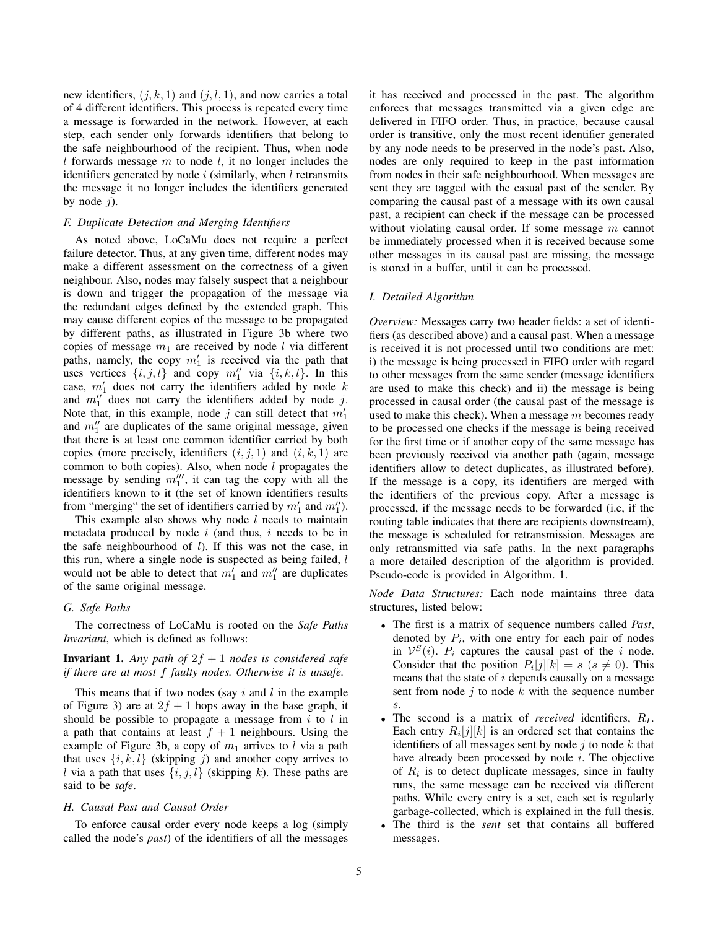new identifiers,  $(j, k, 1)$  and  $(j, l, 1)$ , and now carries a total of 4 different identifiers. This process is repeated every time a message is forwarded in the network. However, at each step, each sender only forwards identifiers that belong to the safe neighbourhood of the recipient. Thus, when node  $l$  forwards message  $m$  to node  $l$ , it no longer includes the identifiers generated by node  $i$  (similarly, when  $l$  retransmits the message it no longer includes the identifiers generated by node  $i$ ).

# *F. Duplicate Detection and Merging Identifiers*

As noted above, LoCaMu does not require a perfect failure detector. Thus, at any given time, different nodes may make a different assessment on the correctness of a given neighbour. Also, nodes may falsely suspect that a neighbour is down and trigger the propagation of the message via the redundant edges defined by the extended graph. This may cause different copies of the message to be propagated by different paths, as illustrated in Figure 3b where two copies of message  $m_1$  are received by node l via different paths, namely, the copy  $m'_1$  is received via the path that uses vertices  $\{i, j, l\}$  and copy  $m_1''$  via  $\{i, k, l\}$ . In this case,  $m'_1$  does not carry the identifiers added by node k and  $m_1''$  does not carry the identifiers added by node j. Note that, in this example, node j can still detect that  $m'_1$ and  $m_1''$  are duplicates of the same original message, given that there is at least one common identifier carried by both copies (more precisely, identifiers  $(i, j, 1)$  and  $(i, k, 1)$  are common to both copies). Also, when node  $l$  propagates the message by sending  $m_1^{\prime\prime\prime}$ , it can tag the copy with all the identifiers known to it (the set of known identifiers results from "merging" the set of identifiers carried by  $m'_1$  and  $m''_1$ ).

This example also shows why node  $l$  needs to maintain metadata produced by node  $i$  (and thus,  $i$  needs to be in the safe neighbourhood of  $l$ ). If this was not the case, in this run, where a single node is suspected as being failed,  $l$ would not be able to detect that  $m'_1$  and  $m''_1$  are duplicates of the same original message.

# *G. Safe Paths*

The correctness of LoCaMu is rooted on the *Safe Paths Invariant*, which is defined as follows:

# **Invariant 1.** Any path of  $2f + 1$  nodes is considered safe *if there are at most* f *faulty nodes. Otherwise it is unsafe.*

This means that if two nodes (say  $i$  and  $l$  in the example of Figure 3) are at  $2f + 1$  hops away in the base graph, it should be possible to propagate a message from  $i$  to  $l$  in a path that contains at least  $f + 1$  neighbours. Using the example of Figure 3b, a copy of  $m_1$  arrives to l via a path that uses  $\{i, k, l\}$  (skipping j) and another copy arrives to l via a path that uses  $\{i, j, l\}$  (skipping k). These paths are said to be *safe*.

### *H. Causal Past and Causal Order*

To enforce causal order every node keeps a log (simply called the node's *past*) of the identifiers of all the messages it has received and processed in the past. The algorithm enforces that messages transmitted via a given edge are delivered in FIFO order. Thus, in practice, because causal order is transitive, only the most recent identifier generated by any node needs to be preserved in the node's past. Also, nodes are only required to keep in the past information from nodes in their safe neighbourhood. When messages are sent they are tagged with the casual past of the sender. By comparing the causal past of a message with its own causal past, a recipient can check if the message can be processed without violating causal order. If some message  $m$  cannot be immediately processed when it is received because some other messages in its causal past are missing, the message is stored in a buffer, until it can be processed.

# *I. Detailed Algorithm*

*Overview:* Messages carry two header fields: a set of identifiers (as described above) and a causal past. When a message is received it is not processed until two conditions are met: i) the message is being processed in FIFO order with regard to other messages from the same sender (message identifiers are used to make this check) and ii) the message is being processed in causal order (the causal past of the message is used to make this check). When a message m becomes ready to be processed one checks if the message is being received for the first time or if another copy of the same message has been previously received via another path (again, message identifiers allow to detect duplicates, as illustrated before). If the message is a copy, its identifiers are merged with the identifiers of the previous copy. After a message is processed, if the message needs to be forwarded (i.e, if the routing table indicates that there are recipients downstream), the message is scheduled for retransmission. Messages are only retransmitted via safe paths. In the next paragraphs a more detailed description of the algorithm is provided. Pseudo-code is provided in Algorithm. 1.

*Node Data Structures:* Each node maintains three data structures, listed below:

- The first is a matrix of sequence numbers called *Past*, denoted by  $P_i$ , with one entry for each pair of nodes in  $V^{S}(i)$ .  $P_i$  captures the causal past of the i node. Consider that the position  $P_i[j][k] = s$  ( $s \neq 0$ ). This means that the state of  $i$  depends causally on a message sent from node  $j$  to node  $k$  with the sequence number s.
- The second is a matrix of *received* identifiers,  $R_I$ . Each entry  $R_i[j][k]$  is an ordered set that contains the identifiers of all messages sent by node  $j$  to node  $k$  that have already been processed by node i. The objective of  $R_i$  is to detect duplicate messages, since in faulty runs, the same message can be received via different paths. While every entry is a set, each set is regularly garbage-collected, which is explained in the full thesis.
- The third is the *sent* set that contains all buffered messages.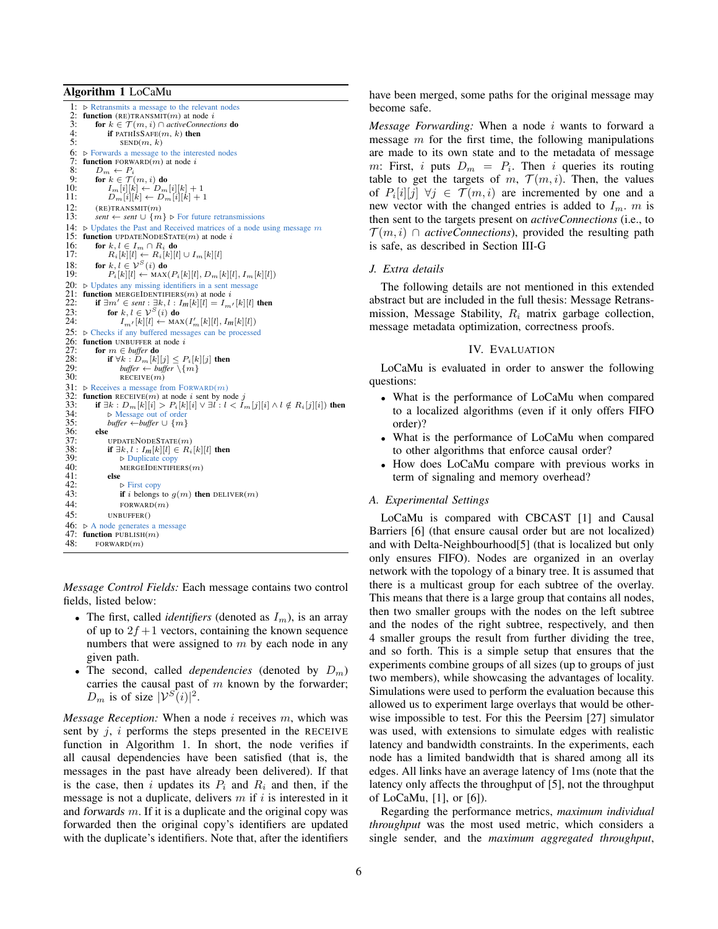#### Algorithm 1 LoCaMu

1:  $\triangleright$  Retransmits a message to the relevant nodes<br>2: **function** (RE)TRANSMIT(*m*) at node *i* 2: **function** (RE)TRANSMIT(*m*) at node *i*<br>3: **for**  $k \in \mathcal{T}(m, i) \cap activeConnecti$ 3: **for**  $k \in \mathcal{T}(m, i) \cap$  *activeConnections* **do**<br>4: **if** PATHISSAFE(*m, k*) **then** 4: if PATHISSAFE $(m, k)$  then<br>5:  $\text{SED}(m, k)$ 5:  $\text{SED}(m, k)$ <br>6:  $\triangleright$  Forwards a message t<br>7: **function** FORWARD $(m)$  $\triangleright$  Forwards a message to the interested nodes 7: **function** FORWARD(*m*) at node *i* 8:  $D_m \leftarrow P_i$ 8:  $D_m \leftarrow P_i$ <br>9: for  $k \in \mathcal{T}$ 9: for  $k \in \mathcal{T}(m, i)$  do<br>10:  $I_m[i][k] \leftarrow D_m$ 10:  $I_m[i][k] \leftarrow D_m[i][k] + 1$ <br>11:  $D_m[i][k] \leftarrow D_m[i][k] + 1$ 12:  $(RE) TRANSMIT(m)$ <br>13:  $sent \leftarrow sent \cup \{m\}$  $sent \leftarrow sent \cup \{m\}$  ⊳ For future retransmissions 14:  $\triangleright$  Updates the Past and Received matrices of a node using message m 15: **function** UPDATENODESTATE $(m)$  at node *i* 16: **for**  $k, l \in I_m \cap R_i$  **do** 16: **for**  $k, l \in I_m \cap R_i$  **do**<br>17:  $R_i[k][l] \leftarrow R_i[k][l] \cup I_m[k][l]$ 18: for  $k, l \in \mathcal{V}^S(i)$  do<br>19:  $P_i[k][l] \leftarrow \text{MAX}(i)$  $P_i[k][l] \leftarrow \text{MAX}(P_i[k][l], D_m[k][l], I_m[k][l])$ 20:  $\triangleright$  Updates any missing identifiers in a sent message 21: function MERGEIDENTIFIERS(*m*) at node *i* 21: **function** MERGEIDENTIFIERS(*m*) at node *i* 22: **if**  $\exists m' \in sent : \exists k, l : Im[k][l] = I$ 22: **if**  $\exists m' \in sent : \exists k, l : I_{m}[k][l] = I_{m'}[k][l]$  then<br>23: **for**  $k, l \in \mathcal{V}^{S}(i)$  do 24:  $I_{m'}[k][l] \leftarrow \text{MAX}(I'_{m}[k][l], I_m[k][l])$ 25:  $\triangleright$  Checks if any buffered messages can be processed 26: **function** UNBUFFER at node *i* 27: **for**  $m \in buffer$  **do** 27: **for**  $m \in$  *buffer* **do**<br>28: **if**  $\forall k : D_m[k]$ 28: **if**  $\forall k : D_m[k][j] \leq P_i[k][j]$  then<br>29: *buffer* ← *buffer*  $\{m\}$ 30: RECEIVE $(m)$ 31:  $\triangleright$  Receives a message from FORWARD $(m)$ 32: **function** RECEIVE(*m*) at node *i* sent by node *j* 33: **if**  $\exists k : D_m[k][i] > P_i[k][i] \vee \exists l : l < I_i$ 33: **if**  $\exists k : D_m[k][i] > P_i[k][i] \lor \exists l : l < I_m[j][i] \land l \notin R_i[j][i]$  then  $34$ :  $\triangleright$  Message out of order 34:  $\triangleright$  Message out of order<br>35:  $\frac{h}{f}$  huffer  $\leftarrow$  huffer  $\cup$  {m} 35: *buffer* ← *buffer*  $\cup$  {*m*}<br>36: **else**  $36:$  else<br> $37:$   $\frac{1}{1}$ 37: UPDATENODESTATE $(m)$ <br>38: **if**  $\exists k, l : I_m[k][l] \in R_i$ 38: **if**  $\exists k, l : I_m[k][l] \in R_i[k][l]$  then<br>39:  $\triangleright$  Duplicate copy  $39: 5$  Duplicate copy<br>40: MERGEIDENTIFI 40: MERGEIDENTIFIERS $(m)$ 41:  $41:$  else<br> $42:$  t 42:  $\triangleright$  First copy<br>43:  $\qquad \qquad$  if *i* belongs if i belongs to  $g(m)$  then DELIVER(m) 44: FORWARD $(m)$ <br>45: IINBUFFER() UNBUFFER() 46:  $\triangleright$  A node generates a message 47: function PUBLISH $(m)$ 47: **function** PUBLISH $(m)$ <br>48: **FORWARD** $(m)$  $FORMARD(m)$ 

*Message Control Fields:* Each message contains two control fields, listed below:

- The first, called *identifiers* (denoted as  $I_m$ ), is an array of up to  $2f + 1$  vectors, containing the known sequence numbers that were assigned to  $m$  by each node in any given path.
- The second, called *dependencies* (denoted by  $D_m$ ) carries the causal past of  $m$  known by the forwarder;  $D_m$  is of size  $|\mathcal{V}^S(i)|^2$ .

*Message Reception:* When a node i receives m, which was sent by  $j$ ,  $i$  performs the steps presented in the RECEIVE function in Algorithm 1. In short, the node verifies if all causal dependencies have been satisfied (that is, the messages in the past have already been delivered). If that is the case, then i updates its  $P_i$  and  $R_i$  and then, if the message is not a duplicate, delivers  $m$  if  $i$  is interested in it and forwards  $m$ . If it is a duplicate and the original copy was forwarded then the original copy's identifiers are updated with the duplicate's identifiers. Note that, after the identifiers have been merged, some paths for the original message may become safe.

*Message Forwarding:* When a node i wants to forward a message  $m$  for the first time, the following manipulations are made to its own state and to the metadata of message m: First, i puts  $D_m = P_i$ . Then i queries its routing table to get the targets of m,  $\mathcal{T}(m, i)$ . Then, the values of  $P_i[i][j] \ \forall j \in \mathcal{T}(m,i)$  are incremented by one and a new vector with the changed entries is added to  $I_m$ . m is then sent to the targets present on *activeConnections* (i.e., to  $\mathcal{T}(m, i)$  ∩ *activeConnections*), provided the resulting path is safe, as described in Section III-G

# *J. Extra details*

The following details are not mentioned in this extended abstract but are included in the full thesis: Message Retransmission, Message Stability,  $R_i$  matrix garbage collection, message metadata optimization, correctness proofs.

# IV. EVALUATION

LoCaMu is evaluated in order to answer the following questions:

- What is the performance of LoCaMu when compared to a localized algorithms (even if it only offers FIFO order)?
- What is the performance of LoCaMu when compared to other algorithms that enforce causal order?
- How does LoCaMu compare with previous works in term of signaling and memory overhead?

# *A. Experimental Settings*

LoCaMu is compared with CBCAST [1] and Causal Barriers [6] (that ensure causal order but are not localized) and with Delta-Neighbourhood[5] (that is localized but only only ensures FIFO). Nodes are organized in an overlay network with the topology of a binary tree. It is assumed that there is a multicast group for each subtree of the overlay. This means that there is a large group that contains all nodes, then two smaller groups with the nodes on the left subtree and the nodes of the right subtree, respectively, and then 4 smaller groups the result from further dividing the tree, and so forth. This is a simple setup that ensures that the experiments combine groups of all sizes (up to groups of just two members), while showcasing the advantages of locality. Simulations were used to perform the evaluation because this allowed us to experiment large overlays that would be otherwise impossible to test. For this the Peersim [27] simulator was used, with extensions to simulate edges with realistic latency and bandwidth constraints. In the experiments, each node has a limited bandwidth that is shared among all its edges. All links have an average latency of 1ms (note that the latency only affects the throughput of [5], not the throughput of LoCaMu, [1], or [6]).

Regarding the performance metrics, *maximum individual throughput* was the most used metric, which considers a single sender, and the *maximum aggregated throughput*,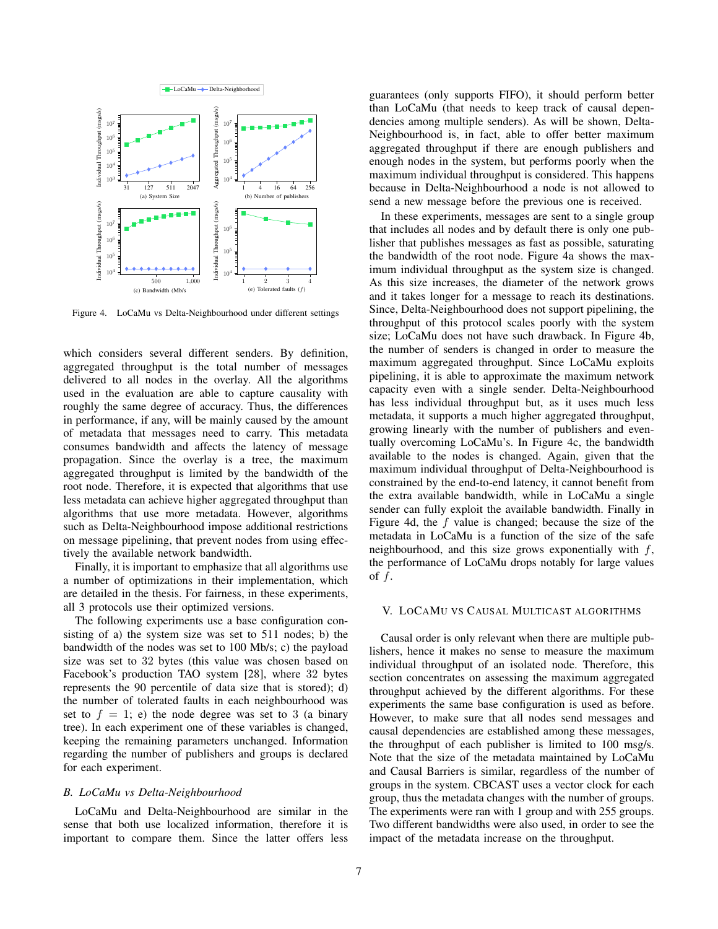

Figure 4. LoCaMu vs Delta-Neighbourhood under different settings

which considers several different senders. By definition, aggregated throughput is the total number of messages delivered to all nodes in the overlay. All the algorithms used in the evaluation are able to capture causality with roughly the same degree of accuracy. Thus, the differences in performance, if any, will be mainly caused by the amount of metadata that messages need to carry. This metadata consumes bandwidth and affects the latency of message propagation. Since the overlay is a tree, the maximum aggregated throughput is limited by the bandwidth of the root node. Therefore, it is expected that algorithms that use less metadata can achieve higher aggregated throughput than algorithms that use more metadata. However, algorithms such as Delta-Neighbourhood impose additional restrictions on message pipelining, that prevent nodes from using effectively the available network bandwidth.

Finally, it is important to emphasize that all algorithms use a number of optimizations in their implementation, which are detailed in the thesis. For fairness, in these experiments, all 3 protocols use their optimized versions.

The following experiments use a base configuration consisting of a) the system size was set to 511 nodes; b) the bandwidth of the nodes was set to 100 Mb/s; c) the payload size was set to 32 bytes (this value was chosen based on Facebook's production TAO system [28], where 32 bytes represents the 90 percentile of data size that is stored); d) the number of tolerated faults in each neighbourhood was set to  $f = 1$ ; e) the node degree was set to 3 (a binary tree). In each experiment one of these variables is changed, keeping the remaining parameters unchanged. Information regarding the number of publishers and groups is declared for each experiment.

# *B. LoCaMu vs Delta-Neighbourhood*

LoCaMu and Delta-Neighbourhood are similar in the sense that both use localized information, therefore it is important to compare them. Since the latter offers less guarantees (only supports FIFO), it should perform better than LoCaMu (that needs to keep track of causal dependencies among multiple senders). As will be shown, Delta-Neighbourhood is, in fact, able to offer better maximum aggregated throughput if there are enough publishers and enough nodes in the system, but performs poorly when the maximum individual throughput is considered. This happens because in Delta-Neighbourhood a node is not allowed to send a new message before the previous one is received.

In these experiments, messages are sent to a single group that includes all nodes and by default there is only one publisher that publishes messages as fast as possible, saturating the bandwidth of the root node. Figure 4a shows the maximum individual throughput as the system size is changed. As this size increases, the diameter of the network grows and it takes longer for a message to reach its destinations. Since, Delta-Neighbourhood does not support pipelining, the throughput of this protocol scales poorly with the system size; LoCaMu does not have such drawback. In Figure 4b, the number of senders is changed in order to measure the maximum aggregated throughput. Since LoCaMu exploits pipelining, it is able to approximate the maximum network capacity even with a single sender. Delta-Neighbourhood has less individual throughput but, as it uses much less metadata, it supports a much higher aggregated throughput, growing linearly with the number of publishers and eventually overcoming LoCaMu's. In Figure 4c, the bandwidth available to the nodes is changed. Again, given that the maximum individual throughput of Delta-Neighbourhood is constrained by the end-to-end latency, it cannot benefit from the extra available bandwidth, while in LoCaMu a single sender can fully exploit the available bandwidth. Finally in Figure 4d, the  $f$  value is changed; because the size of the metadata in LoCaMu is a function of the size of the safe neighbourhood, and this size grows exponentially with  $f$ , the performance of LoCaMu drops notably for large values of  $f$ .

# V. LOCAMU VS CAUSAL MULTICAST ALGORITHMS

Causal order is only relevant when there are multiple publishers, hence it makes no sense to measure the maximum individual throughput of an isolated node. Therefore, this section concentrates on assessing the maximum aggregated throughput achieved by the different algorithms. For these experiments the same base configuration is used as before. However, to make sure that all nodes send messages and causal dependencies are established among these messages, the throughput of each publisher is limited to 100 msg/s. Note that the size of the metadata maintained by LoCaMu and Causal Barriers is similar, regardless of the number of groups in the system. CBCAST uses a vector clock for each group, thus the metadata changes with the number of groups. The experiments were ran with 1 group and with 255 groups. Two different bandwidths were also used, in order to see the impact of the metadata increase on the throughput.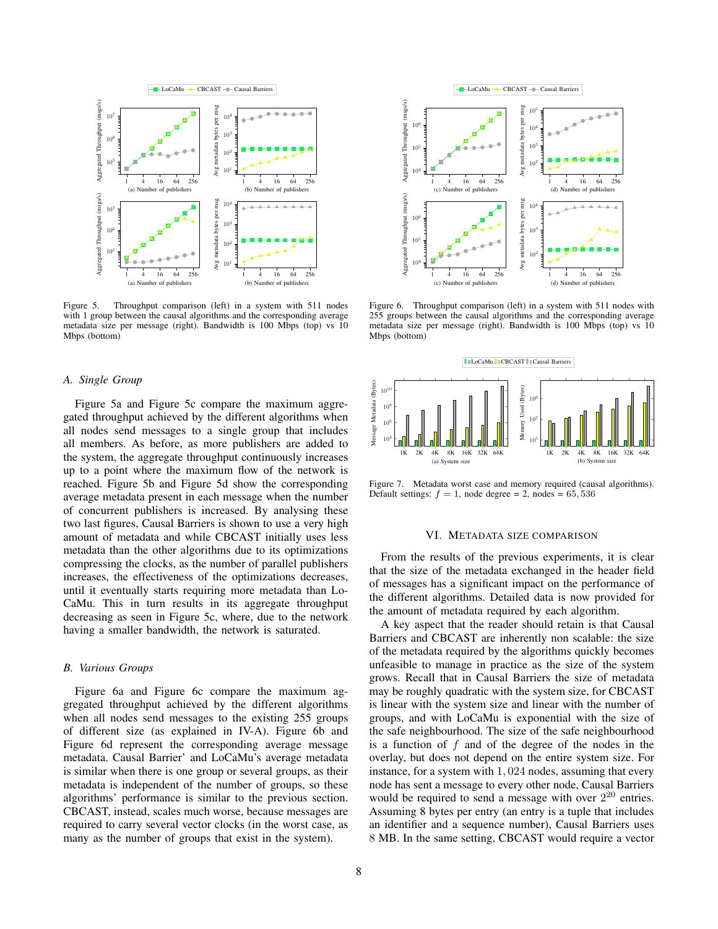

Figure 5. Throughput comparison (left) in a system with 511 nodes with 1 group between the causal algorithms and the corresponding average metadata size per message (right). Bandwidth is 100 Mbps (top) vs 10 Mbps (bottom)

### *A. Single Group*

Figure 5a and Figure 5c compare the maximum aggregated throughput achieved by the different algorithms when all nodes send messages to a single group that includes all members. As before, as more publishers are added to the system, the aggregate throughput continuously increases up to a point where the maximum flow of the network is reached. Figure 5b and Figure 5d show the corresponding average metadata present in each message when the number of concurrent publishers is increased. By analysing these two last figures, Causal Barriers is shown to use a very high amount of metadata and while CBCAST initially uses less metadata than the other algorithms due to its optimizations compressing the clocks, as the number of parallel publishers increases, the effectiveness of the optimizations decreases, until it eventually starts requiring more metadata than Lo-CaMu. This in turn results in its aggregate throughput decreasing as seen in Figure 5c, where, due to the network having a smaller bandwidth, the network is saturated.

#### *B. Various Groups*

Figure 6a and Figure 6c compare the maximum aggregated throughput achieved by the different algorithms when all nodes send messages to the existing 255 groups of different size (as explained in IV-A). Figure 6b and Figure 6d represent the corresponding average message metadata. Causal Barrier' and LoCaMu's average metadata is similar when there is one group or several groups, as their metadata is independent of the number of groups, so these algorithms' performance is similar to the previous section. CBCAST, instead, scales much worse, because messages are required to carry several vector clocks (in the worst case, as many as the number of groups that exist in the system).



Figure 6. Throughput comparison (left) in a system with 511 nodes with 255 groups between the causal algorithms and the corresponding average metadata size per message (right). Bandwidth is 100 Mbps (top) vs 10 Mbps (bottom)



Figure 7. Metadata worst case and memory required (causal algorithms). Default settings:  $f = 1$ , node degree = 2, nodes = 65, 536

## VI. METADATA SIZE COMPARISON

From the results of the previous experiments, it is clear that the size of the metadata exchanged in the header field of messages has a significant impact on the performance of the different algorithms. Detailed data is now provided for the amount of metadata required by each algorithm.

A key aspect that the reader should retain is that Causal Barriers and CBCAST are inherently non scalable: the size of the metadata required by the algorithms quickly becomes unfeasible to manage in practice as the size of the system grows. Recall that in Causal Barriers the size of metadata may be roughly quadratic with the system size, for CBCAST is linear with the system size and linear with the number of groups, and with LoCaMu is exponential with the size of the safe neighbourhood. The size of the safe neighbourhood is a function of  $f$  and of the degree of the nodes in the overlay, but does not depend on the entire system size. For instance, for a system with 1, 024 nodes, assuming that every node has sent a message to every other node, Causal Barriers would be required to send a message with over  $2^{20}$  entries. Assuming 8 bytes per entry (an entry is a tuple that includes an identifier and a sequence number), Causal Barriers uses 8 MB. In the same setting, CBCAST would require a vector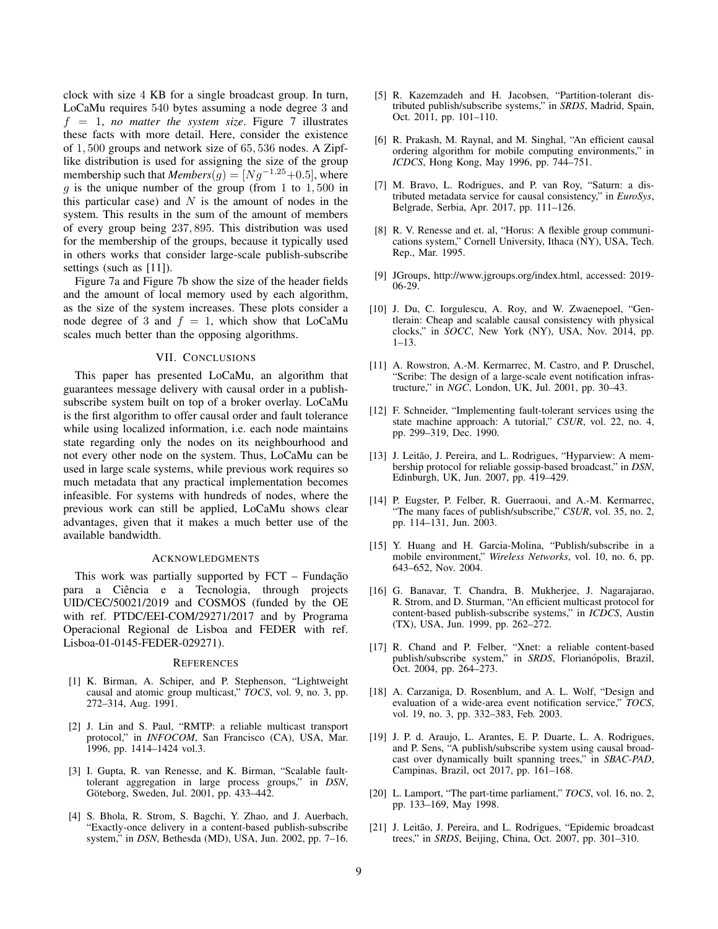clock with size 4 KB for a single broadcast group. In turn, LoCaMu requires 540 bytes assuming a node degree 3 and  $f = 1$ , *no matter the system size*. Figure 7 illustrates these facts with more detail. Here, consider the existence of 1, 500 groups and network size of 65, 536 nodes. A Zipflike distribution is used for assigning the size of the group membership such that  $Members(g) = [Ng^{-1.25}+0.5]$ , where g is the unique number of the group (from 1 to  $1,500$  in this particular case) and  $N$  is the amount of nodes in the system. This results in the sum of the amount of members of every group being 237, 895. This distribution was used for the membership of the groups, because it typically used in others works that consider large-scale publish-subscribe settings (such as [11]).

Figure 7a and Figure 7b show the size of the header fields and the amount of local memory used by each algorithm, as the size of the system increases. These plots consider a node degree of 3 and  $f = 1$ , which show that LoCaMu scales much better than the opposing algorithms.

# VII. CONCLUSIONS

This paper has presented LoCaMu, an algorithm that guarantees message delivery with causal order in a publishsubscribe system built on top of a broker overlay. LoCaMu is the first algorithm to offer causal order and fault tolerance while using localized information, i.e. each node maintains state regarding only the nodes on its neighbourhood and not every other node on the system. Thus, LoCaMu can be used in large scale systems, while previous work requires so much metadata that any practical implementation becomes infeasible. For systems with hundreds of nodes, where the previous work can still be applied, LoCaMu shows clear advantages, given that it makes a much better use of the available bandwidth.

#### ACKNOWLEDGMENTS

This work was partially supported by  $FCT - Funda$ ção para a Ciência e a Tecnologia, through projects UID/CEC/50021/2019 and COSMOS (funded by the OE with ref. PTDC/EEI-COM/29271/2017 and by Programa Operacional Regional de Lisboa and FEDER with ref. Lisboa-01-0145-FEDER-029271).

### **REFERENCES**

- [1] K. Birman, A. Schiper, and P. Stephenson, "Lightweight causal and atomic group multicast," *TOCS*, vol. 9, no. 3, pp. 272–314, Aug. 1991.
- [2] J. Lin and S. Paul, "RMTP: a reliable multicast transport protocol," in *INFOCOM*, San Francisco (CA), USA, Mar. 1996, pp. 1414–1424 vol.3.
- [3] I. Gupta, R. van Renesse, and K. Birman, "Scalable faulttolerant aggregation in large process groups," in *DSN*, Göteborg, Sweden, Jul. 2001, pp. 433-442.
- [4] S. Bhola, R. Strom, S. Bagchi, Y. Zhao, and J. Auerbach, "Exactly-once delivery in a content-based publish-subscribe system," in *DSN*, Bethesda (MD), USA, Jun. 2002, pp. 7–16.
- [5] R. Kazemzadeh and H. Jacobsen, "Partition-tolerant distributed publish/subscribe systems," in *SRDS*, Madrid, Spain, Oct. 2011, pp. 101–110.
- [6] R. Prakash, M. Raynal, and M. Singhal, "An efficient causal ordering algorithm for mobile computing environments," in *ICDCS*, Hong Kong, May 1996, pp. 744–751.
- [7] M. Bravo, L. Rodrigues, and P. van Roy, "Saturn: a distributed metadata service for causal consistency," in *EuroSys*, Belgrade, Serbia, Apr. 2017, pp. 111–126.
- [8] R. V. Renesse and et. al, "Horus: A flexible group communications system," Cornell University, Ithaca (NY), USA, Tech. Rep., Mar. 1995.
- [9] JGroups, http://www.jgroups.org/index.html, accessed: 2019- 06-29.
- [10] J. Du, C. Iorgulescu, A. Roy, and W. Zwaenepoel, "Gentlerain: Cheap and scalable causal consistency with physical clocks," in *SOCC*, New York (NY), USA, Nov. 2014, pp. 1–13.
- [11] A. Rowstron, A.-M. Kermarrec, M. Castro, and P. Druschel, "Scribe: The design of a large-scale event notification infrastructure," in *NGC*, London, UK, Jul. 2001, pp. 30–43.
- [12] F. Schneider, "Implementing fault-tolerant services using the state machine approach: A tutorial," *CSUR*, vol. 22, no. 4, pp. 299–319, Dec. 1990.
- [13] J. Leitão, J. Pereira, and L. Rodrigues, "Hyparview: A membership protocol for reliable gossip-based broadcast," in *DSN*, Edinburgh, UK, Jun. 2007, pp. 419–429.
- [14] P. Eugster, P. Felber, R. Guerraoui, and A.-M. Kermarrec, "The many faces of publish/subscribe," *CSUR*, vol. 35, no. 2, pp. 114–131, Jun. 2003.
- [15] Y. Huang and H. Garcia-Molina, "Publish/subscribe in a mobile environment," *Wireless Networks*, vol. 10, no. 6, pp. 643–652, Nov. 2004.
- [16] G. Banavar, T. Chandra, B. Mukherjee, J. Nagarajarao, R. Strom, and D. Sturman, "An efficient multicast protocol for content-based publish-subscribe systems," in *ICDCS*, Austin (TX), USA, Jun. 1999, pp. 262–272.
- [17] R. Chand and P. Felber, "Xnet: a reliable content-based publish/subscribe system," in *SRDS*, Florianópolis, Brazil, Oct. 2004, pp. 264–273.
- [18] A. Carzaniga, D. Rosenblum, and A. L. Wolf, "Design and evaluation of a wide-area event notification service," *TOCS*, vol. 19, no. 3, pp. 332–383, Feb. 2003.
- [19] J. P. d. Araujo, L. Arantes, E. P. Duarte, L. A. Rodrigues, and P. Sens, "A publish/subscribe system using causal broadcast over dynamically built spanning trees," in *SBAC-PAD*, Campinas, Brazil, oct 2017, pp. 161–168.
- [20] L. Lamport, "The part-time parliament," *TOCS*, vol. 16, no. 2, pp. 133–169, May 1998.
- [21] J. Leitão, J. Pereira, and L. Rodrigues, "Epidemic broadcast" trees," in *SRDS*, Beijing, China, Oct. 2007, pp. 301–310.